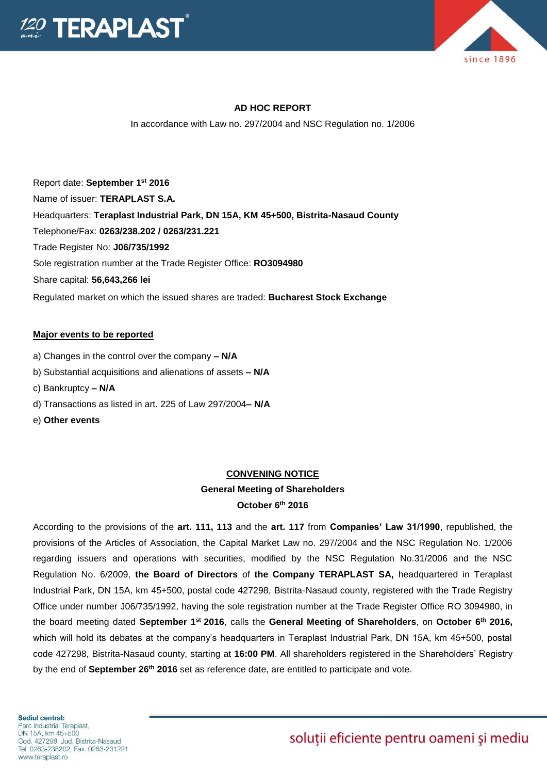



#### **AD HOC REPORT**

In accordance with Law no. 297/2004 and NSC Regulation no. 1/2006

Report date: **September 1st 2016** Name of issuer: **TERAPLAST S.A.**  Headquarters: **Teraplast Industrial Park, DN 15A, KM 45+500, Bistrita-Nasaud County** Telephone/Fax: **0263/238.202 / 0263/231.221** Trade Register No: **J06/735/1992** Sole registration number at the Trade Register Office: **RO3094980** Share capital: **56,643,266 lei** Regulated market on which the issued shares are traded: **Bucharest Stock Exchange**

#### **Major events to be reported**

- a) Changes in the control over the company **– N/A**
- b) Substantial acquisitions and alienations of assets **– N/A**
- c) Bankruptcy **– N/A**
- d) Transactions as listed in art. 225 of Law 297/2004**– N/A**
- e) **Other events**

#### **CONVENING NOTICE**

# **General Meeting of Shareholders**

**October 6th 2016**

According to the provisions of the **art. 111, 113** and the **art. 117** from **Companies' Law 31/1990**, republished, the provisions of the Articles of Association, the Capital Market Law no. 297/2004 and the NSC Regulation No. 1/2006 regarding issuers and operations with securities, modified by the NSC Regulation No.31/2006 and the NSC Regulation No. 6/2009, **the Board of Directors** of **the Company TERAPLAST SA,** headquartered in Teraplast Industrial Park, DN 15A, km 45+500, postal code 427298, Bistrita-Nasaud county, registered with the Trade Registry Office under number J06/735/1992, having the sole registration number at the Trade Register Office RO 3094980, in the board meeting dated **September 1st 2016**, calls the **General Meeting of Shareholders**, on **October 6th 2016,**  which will hold its debates at the company's headquarters in Teraplast Industrial Park, DN 15A, km 45+500, postal code 427298, Bistrita-Nasaud county, starting at **16:00 PM**. All shareholders registered in the Shareholders' Registry by the end of **September 26th 2016** set as reference date, are entitled to participate and vote.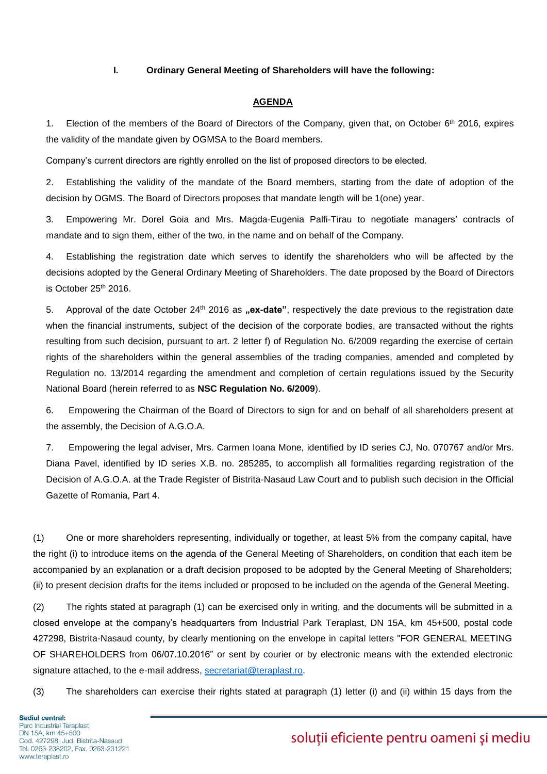#### **I. Ordinary General Meeting of Shareholders will have the following:**

#### **AGENDA**

1. Election of the members of the Board of Directors of the Company, given that, on October 6<sup>th</sup> 2016, expires the validity of the mandate given by OGMSA to the Board members.

Company's current directors are rightly enrolled on the list of proposed directors to be elected.

2. Establishing the validity of the mandate of the Board members, starting from the date of adoption of the decision by OGMS. The Board of Directors proposes that mandate length will be 1(one) year.

3. Empowering Mr. Dorel Goia and Mrs. Magda-Eugenia Palfi-Tirau to negotiate managers' contracts of mandate and to sign them, either of the two, in the name and on behalf of the Company.

4. Establishing the registration date which serves to identify the shareholders who will be affected by the decisions adopted by the General Ordinary Meeting of Shareholders. The date proposed by the Board of Directors is October 25th 2016.

5. Approval of the date October 24<sup>th</sup> 2016 as **"ex-date**", respectively the date previous to the registration date when the financial instruments, subject of the decision of the corporate bodies, are transacted without the rights resulting from such decision, pursuant to art. 2 letter f) of Regulation No. 6/2009 regarding the exercise of certain rights of the shareholders within the general assemblies of the trading companies, amended and completed by Regulation no. 13/2014 regarding the amendment and completion of certain regulations issued by the Security National Board (herein referred to as **NSC Regulation No. 6/2009**).

6. Empowering the Chairman of the Board of Directors to sign for and on behalf of all shareholders present at the assembly, the Decision of A.G.O.A.

7. Empowering the legal adviser, Mrs. Carmen Ioana Mone, identified by ID series CJ, No. 070767 and/or Mrs. Diana Pavel, identified by ID series X.B. no. 285285, to accomplish all formalities regarding registration of the Decision of A.G.O.A. at the Trade Register of Bistrita-Nasaud Law Court and to publish such decision in the Official Gazette of Romania, Part 4.

(1) One or more shareholders representing, individually or together, at least 5% from the company capital, have the right (i) to introduce items on the agenda of the General Meeting of Shareholders, on condition that each item be accompanied by an explanation or a draft decision proposed to be adopted by the General Meeting of Shareholders; (ii) to present decision drafts for the items included or proposed to be included on the agenda of the General Meeting.

(2) The rights stated at paragraph (1) can be exercised only in writing, and the documents will be submitted in a closed envelope at the company's headquarters from Industrial Park Teraplast, DN 15A, km 45+500, postal code 427298, Bistrita-Nasaud county, by clearly mentioning on the envelope in capital letters "FOR GENERAL MEETING OF SHAREHOLDERS from 06/07.10.2016" or sent by courier or by electronic means with the extended electronic signature attached, to the e-mail address, [secretariat@teraplast.ro.](mailto:secretariat@teraplast.ro)

(3) The shareholders can exercise their rights stated at paragraph (1) letter (i) and (ii) within 15 days from the

## soluții eficiente pentru oameni și mediu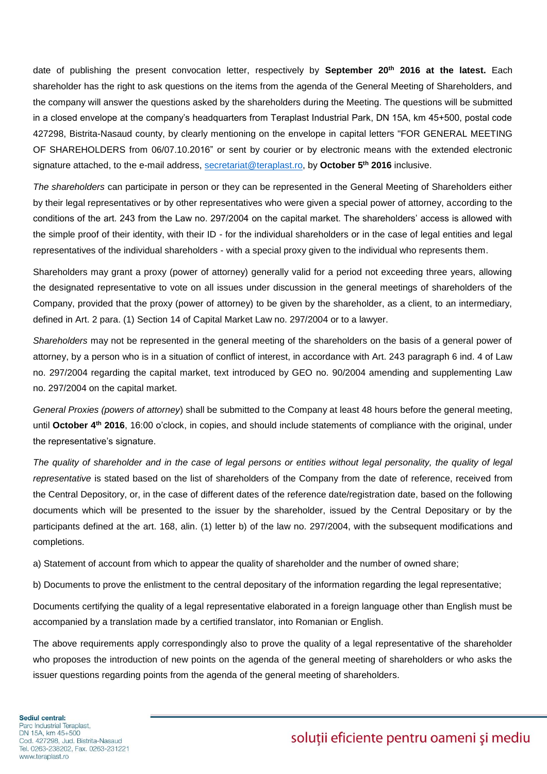date of publishing the present convocation letter, respectively by **September 20th 2016 at the latest.** Each shareholder has the right to ask questions on the items from the agenda of the General Meeting of Shareholders, and the company will answer the questions asked by the shareholders during the Meeting. The questions will be submitted in a closed envelope at the company's headquarters from Teraplast Industrial Park, DN 15A, km 45+500, postal code 427298, Bistrita-Nasaud county, by clearly mentioning on the envelope in capital letters "FOR GENERAL MEETING OF SHAREHOLDERS from 06/07.10.2016" or sent by courier or by electronic means with the extended electronic signature attached, to the e-mail address, [secretariat@teraplast.ro,](mailto:secretariat@teraplast.ro) by **October 5th 2016** inclusive.

*The shareholders* can participate in person or they can be represented in the General Meeting of Shareholders either by their legal representatives or by other representatives who were given a special power of attorney, according to the conditions of the art. 243 from the Law no. 297/2004 on the capital market. The shareholders' access is allowed with the simple proof of their identity, with their ID - for the individual shareholders or in the case of legal entities and legal representatives of the individual shareholders - with a special proxy given to the individual who represents them.

Shareholders may grant a proxy (power of attorney) generally valid for a period not exceeding three years, allowing the designated representative to vote on all issues under discussion in the general meetings of shareholders of the Company, provided that the proxy (power of attorney) to be given by the shareholder, as a client, to an intermediary, defined in Art. 2 para. (1) Section 14 of Capital Market Law no. 297/2004 or to a lawyer.

*Shareholders* may not be represented in the general meeting of the shareholders on the basis of a general power of attorney, by a person who is in a situation of conflict of interest, in accordance with Art. 243 paragraph 6 ind. 4 of Law no. 297/2004 regarding the capital market, text introduced by GEO no. 90/2004 amending and supplementing Law no. 297/2004 on the capital market.

*General Proxies (powers of attorney*) shall be submitted to the Company at least 48 hours before the general meeting, until **October 4th 2016**, 16:00 o'clock, in copies, and should include statements of compliance with the original, under the representative's signature.

The quality of shareholder and in the case of legal persons or entities without legal personality, the quality of legal *representative* is stated based on the list of shareholders of the Company from the date of reference, received from the Central Depository, or, in the case of different dates of the reference date/registration date, based on the following documents which will be presented to the issuer by the shareholder, issued by the Central Depositary or by the participants defined at the art. 168, alin. (1) letter b) of the law no. 297/2004, with the subsequent modifications and completions.

a) Statement of account from which to appear the quality of shareholder and the number of owned share;

b) Documents to prove the enlistment to the central depositary of the information regarding the legal representative;

Documents certifying the quality of a legal representative elaborated in a foreign language other than English must be accompanied by a translation made by a certified translator, into Romanian or English.

The above requirements apply correspondingly also to prove the quality of a legal representative of the shareholder who proposes the introduction of new points on the agenda of the general meeting of shareholders or who asks the issuer questions regarding points from the agenda of the general meeting of shareholders.

# soluții eficiente pentru oameni și mediu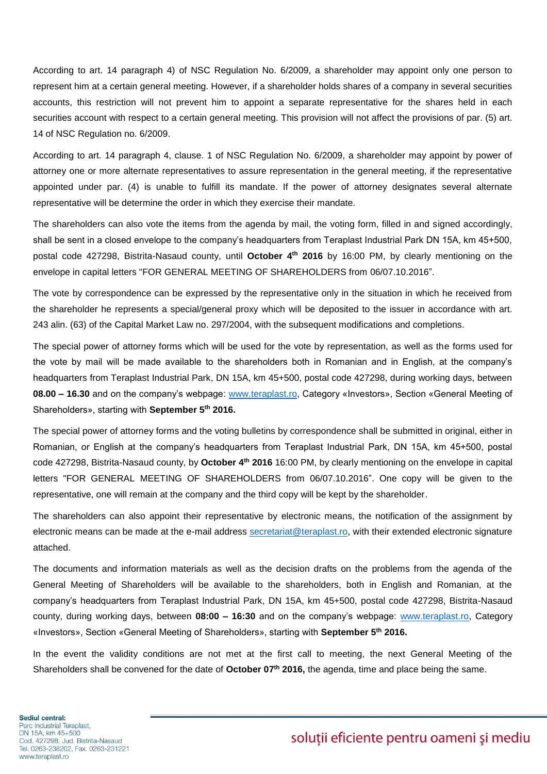According to art. 14 paragraph 4) of NSC Regulation No. 6/2009, a shareholder may appoint only one person to represent him at a certain general meeting. However, if a shareholder holds shares of a company in several securities accounts, this restriction will not prevent him to appoint a separate representative for the shares held in each securities account with respect to a certain general meeting. This provision will not affect the provisions of par. (5) art. 14 of NSC Regulation no. 6/2009.

According to art. 14 paragraph 4, clause. 1 of NSC Regulation No. 6/2009, a shareholder may appoint by power of attorney one or more alternate representatives to assure representation in the general meeting, if the representative appointed under par. (4) is unable to fulfill its mandate. If the power of attorney designates several alternate representative will be determine the order in which they exercise their mandate.

The shareholders can also vote the items from the agenda by mail, the voting form, filled in and signed accordingly, shall be sent in a closed envelope to the company's headquarters from Teraplast Industrial Park DN 15A, km 45+500, postal code 427298, Bistrita-Nasaud county, until **October 4 th 2016** by 16:00 PM, by clearly mentioning on the envelope in capital letters "FOR GENERAL MEETING OF SHAREHOLDERS from 06/07.10.2016".

The vote by correspondence can be expressed by the representative only in the situation in which he received from the shareholder he represents a special/general proxy which will be deposited to the issuer in accordance with art. 243 alin. (63) of the Capital Market Law no. 297/2004, with the subsequent modifications and completions.

The special power of attorney forms which will be used for the vote by representation, as well as the forms used for the vote by mail will be made available to the shareholders both in Romanian and in English, at the company's headquarters from Teraplast Industrial Park, DN 15A, km 45+500, postal code 427298, during working days, between **08.00 – 16.30** and on the company's webpage: [www.teraplast.ro,](http://www.teraplast.ro/) Category «Investors», Section «General Meeting of Shareholders», starting with **September 5th 2016.**

The special power of attorney forms and the voting bulletins by correspondence shall be submitted in original, either in Romanian, or English at the company's headquarters from Teraplast Industrial Park, DN 15A, km 45+500, postal code 427298, Bistrita-Nasaud county, by **October 4 th 2016** 16:00 PM, by clearly mentioning on the envelope in capital letters "FOR GENERAL MEETING OF SHAREHOLDERS from 06/07.10.2016". One copy will be given to the representative, one will remain at the company and the third copy will be kept by the shareholder.

The shareholders can also appoint their representative by electronic means, the notification of the assignment by electronic means can be made at the e-mail address [secretariat@teraplast.ro,](mailto:secretariat@teraplast.ro) with their extended electronic signature attached.

The documents and information materials as well as the decision drafts on the problems from the agenda of the General Meeting of Shareholders will be available to the shareholders, both in English and Romanian, at the company's headquarters from Teraplast Industrial Park, DN 15A, km 45+500, postal code 427298, Bistrita-Nasaud county, during working days, between **08:00 – 16:30** and on the company's webpage: [www.teraplast.ro,](http://www.teraplast.ro/) Category «Investors», Section «General Meeting of Shareholders», starting with **September 5th 2016.**

In the event the validity conditions are not met at the first call to meeting, the next General Meeting of the Shareholders shall be convened for the date of **October 07th 2016,** the agenda, time and place being the same.